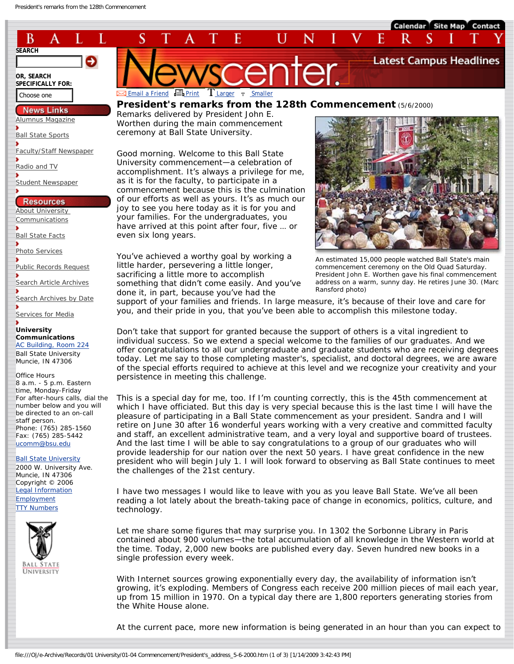

**[Ball State Facts](http://www.bsu.edu/factbook)** 

[Photo Services](http://www.bsu.edu/photoservices/)

[Public Records Request](http://www.bsu.edu/news/services/pub_records)

[Search Article Archives](http://www.bsu.edu/news/search)

[Search Archives by Date](http://www.bsu.edu/news/archive)

[Services for Media](http://www.bsu.edu/news/services)

## **University Communications** [AC Building, Room 224](http://www.bsu.edu/news/aboutur/location/) Ball State University

Muncie, IN 47306

Office Hours 8 a.m. - 5 p.m. Eastern time, Monday-Friday For after-hours calls, dial the number below and you will be directed to an on-call staff person. Phone: (765) 285-1560 Fax: (765) 285-5442 [ucomm@bsu.edu](mailto:ucomm@bsu.edu)

**[Ball State University](http://www.bsu.edu/up/contactus)** 2000 W. University Ave. Muncie, IN 47306 Copyright © 2006 [Legal Information](http://www.bsu.edu/legal/) [Employment](http://www.bsu.edu/up/article/0,,22805--,00.html) **[TTY Numbers](http://www.bsu.edu/dsd/ttynumbers/)** 



have arrived at this point after four, five … or even six long years.

You've achieved a worthy goal by working a little harder, persevering a little longer, sacrificing a little more to accomplish something that didn't come easily. And you've done it, in part, because you've had the



support of your families and friends. In large measure, it's because of their love and care for you, and their pride in you, that you've been able to accomplish this milestone today.

Don't take that support for granted because the support of others is a vital ingredient to individual success. So we extend a special welcome to the families of our graduates. And we offer congratulations to all our undergraduate and graduate students who are receiving degrees today. Let me say to those completing master's, specialist, and doctoral degrees, we are aware of the special efforts required to achieve at this level and we recognize your creativity and your persistence in meeting this challenge.

This is a special day for me, too. If I'm counting correctly, this is the 45th commencement at which I have officiated. But this day is very special because this is the last time I will have the pleasure of participating in a Ball State commencement as your president. Sandra and I will retire on June 30 after 16 wonderful years working with a very creative and committed faculty and staff, an excellent administrative team, and a very loyal and supportive board of trustees. And the last time I will be able to say congratulations to a group of our graduates who will provide leadership for our nation over the next 50 years. I have great confidence in the new president who will begin July 1. I will look forward to observing as Ball State continues to meet the challenges of the 21st century.

I have two messages I would like to leave with you as you leave Ball State. We've all been reading a lot lately about the breath-taking pace of change in economics, politics, culture, and technology.

Let me share some figures that may surprise you. In 1302 the Sorbonne Library in Paris contained about 900 volumes—the total accumulation of all knowledge in the Western world at the time. Today, 2,000 new books are published every day. Seven hundred new books in a single profession every week.

With Internet sources growing exponentially every day, the availability of information isn't growing, it's exploding. Members of Congress each receive 200 million pieces of mail each year, up from 15 million in 1970. On a typical day there are 1,800 reporters generating stories from the White House alone.

At the current pace, more new information is being generated in an hour than you can expect to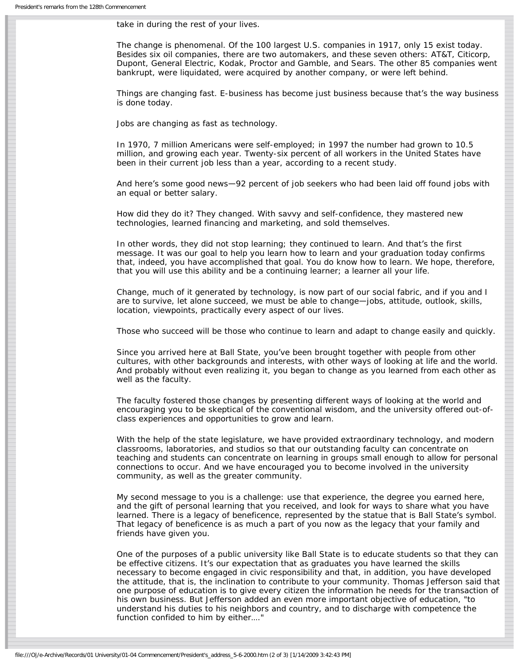take in during the rest of your lives.

The change is phenomenal. Of the 100 largest U.S. companies in 1917, only 15 exist today. Besides six oil companies, there are two automakers, and these seven others: AT&T, Citicorp, Dupont, General Electric, Kodak, Proctor and Gamble, and Sears. The other 85 companies went bankrupt, were liquidated, were acquired by another company, or were left behind.

Things are changing fast. E-business has become just business because that's the way business is done today.

Jobs are changing as fast as technology.

In 1970, 7 million Americans were self-employed; in 1997 the number had grown to 10.5 million, and growing each year. Twenty-six percent of all workers in the United States have been in their current job less than a year, according to a recent study.

And here's some good news—92 percent of job seekers who had been laid off found jobs with an equal or better salary.

How did they do it? They changed. With savvy and self-confidence, they mastered new technologies, learned financing and marketing, and sold themselves.

In other words, they did not stop learning; they continued to learn. And that's the first message. It was our goal to help you learn how to learn and your graduation today confirms that, indeed, you have accomplished that goal. You do know how to learn. We hope, therefore, that you will use this ability and be a continuing learner; a learner all your life.

Change, much of it generated by technology, is now part of our social fabric, and if you and I are to survive, let alone succeed, we must be able to change—jobs, attitude, outlook, skills, location, viewpoints, practically every aspect of our lives.

Those who succeed will be those who continue to learn and adapt to change easily and quickly.

Since you arrived here at Ball State, you've been brought together with people from other cultures, with other backgrounds and interests, with other ways of looking at life and the world. And probably without even realizing it, you began to change as you learned from each other as well as the faculty.

The faculty fostered those changes by presenting different ways of looking at the world and encouraging you to be skeptical of the conventional wisdom, and the university offered out-ofclass experiences and opportunities to grow and learn.

With the help of the state legislature, we have provided extraordinary technology, and modern classrooms, laboratories, and studios so that our outstanding faculty can concentrate on teaching and students can concentrate on learning in groups small enough to allow for personal connections to occur. And we have encouraged you to become involved in the university community, as well as the greater community.

My second message to you is a challenge: use that experience, the degree you earned here, and the gift of personal learning that you received, and look for ways to share what you have learned. There is a legacy of beneficence, represented by the statue that is Ball State's symbol. That legacy of beneficence is as much a part of you now as the legacy that your family and friends have given you.

One of the purposes of a public university like Ball State is to educate students so that they can be effective citizens. It's our expectation that as graduates you have learned the skills necessary to become engaged in civic responsibility and that, in addition, you have developed the attitude, that is, the inclination to contribute to your community. Thomas Jefferson said that one purpose of education is to give every citizen the information he needs for the transaction of his own business. But Jefferson added an even more important objective of education, "to understand his duties to his neighbors and country, and to discharge with competence the function confided to him by either…."